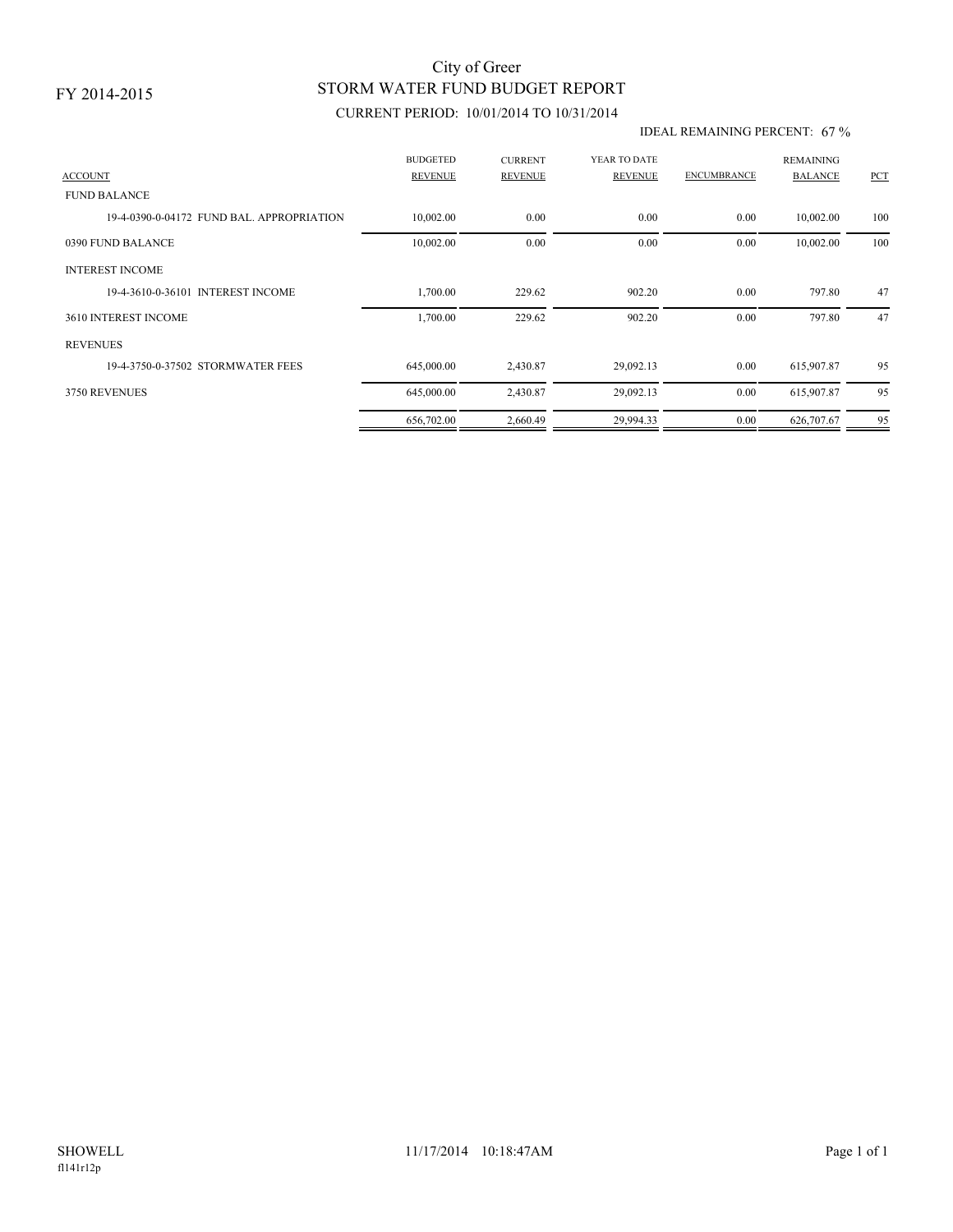# STORM WATER FUND BUDGET REPORT City of Greer

## CURRENT PERIOD: 10/01/2014 TO 10/31/2014

#### IDEAL REMAINING PERCENT: 67 %

| <b>ACCOUNT</b>                            | <b>BUDGETED</b><br><b>REVENUE</b> | <b>CURRENT</b><br><b>REVENUE</b> | YEAR TO DATE<br>REVENUE | <b>ENCUMBRANCE</b> | <b>REMAINING</b><br><b>BALANCE</b> | PCT |
|-------------------------------------------|-----------------------------------|----------------------------------|-------------------------|--------------------|------------------------------------|-----|
| <b>FUND BALANCE</b>                       |                                   |                                  |                         |                    |                                    |     |
| 19-4-0390-0-04172 FUND BAL, APPROPRIATION | 10,002.00                         | 0.00                             | 0.00                    | 0.00               | 10,002.00                          | 100 |
| 0390 FUND BALANCE                         | 10,002.00                         | 0.00                             | 0.00                    | 0.00               | 10,002.00                          | 100 |
| <b>INTEREST INCOME</b>                    |                                   |                                  |                         |                    |                                    |     |
| 19-4-3610-0-36101 INTEREST INCOME         | 1,700.00                          | 229.62                           | 902.20                  | 0.00               | 797.80                             | 47  |
| 3610 INTEREST INCOME                      | 1,700.00                          | 229.62                           | 902.20                  | 0.00               | 797.80                             | 47  |
| <b>REVENUES</b>                           |                                   |                                  |                         |                    |                                    |     |
| 19-4-3750-0-37502 STORMWATER FEES         | 645,000.00                        | 2,430.87                         | 29,092.13               | 0.00               | 615,907.87                         | 95  |
| 3750 REVENUES                             | 645,000.00                        | 2,430.87                         | 29,092.13               | 0.00               | 615,907.87                         | 95  |
|                                           | 656,702.00                        | 2,660.49                         | 29,994.33               | 0.00               | 626,707.67                         | 95  |